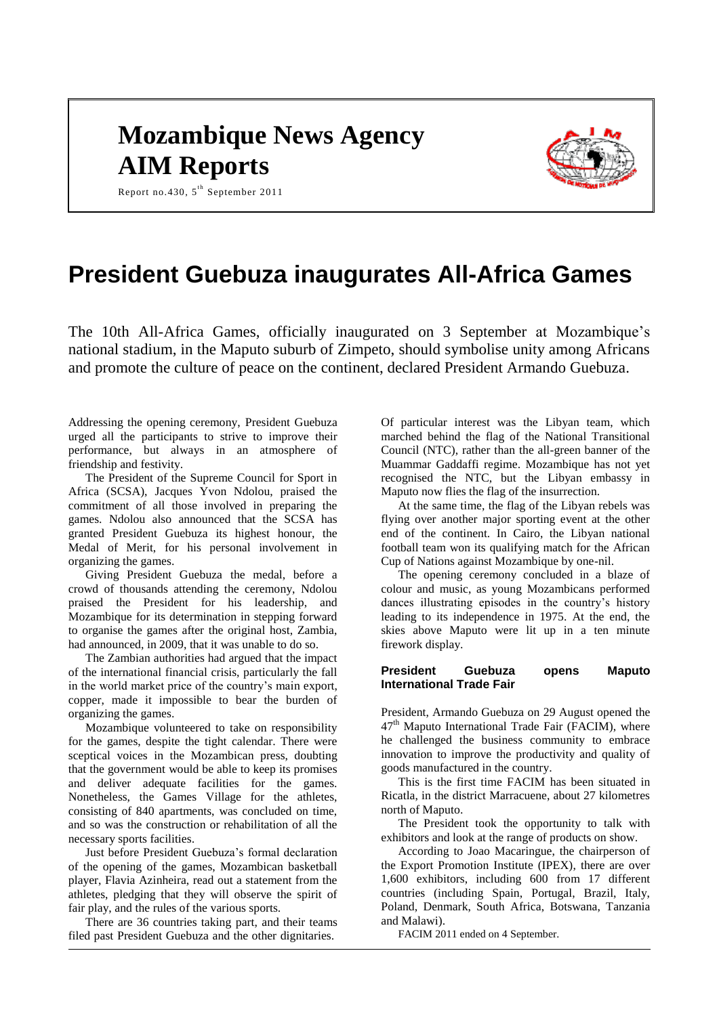# **Mozambique News Agency AIM Reports**



Report no. 430,  $5^{\text{th}}$  September 2011

## **President Guebuza inaugurates All-Africa Games**

The 10th All-Africa Games, officially inaugurated on 3 September at Mozambique's national stadium, in the Maputo suburb of Zimpeto, should symbolise unity among Africans and promote the culture of peace on the continent, declared President Armando Guebuza.

Addressing the opening ceremony, President Guebuza urged all the participants to strive to improve their performance, but always in an atmosphere of friendship and festivity.

The President of the Supreme Council for Sport in Africa (SCSA), Jacques Yvon Ndolou, praised the commitment of all those involved in preparing the games. Ndolou also announced that the SCSA has granted President Guebuza its highest honour, the Medal of Merit, for his personal involvement in organizing the games.

Giving President Guebuza the medal, before a crowd of thousands attending the ceremony, Ndolou praised the President for his leadership, and Mozambique for its determination in stepping forward to organise the games after the original host, Zambia, had announced, in 2009, that it was unable to do so.

The Zambian authorities had argued that the impact of the international financial crisis, particularly the fall in the world market price of the country's main export, copper, made it impossible to bear the burden of organizing the games.

Mozambique volunteered to take on responsibility for the games, despite the tight calendar. There were sceptical voices in the Mozambican press, doubting that the government would be able to keep its promises and deliver adequate facilities for the games. Nonetheless, the Games Village for the athletes, consisting of 840 apartments, was concluded on time, and so was the construction or rehabilitation of all the necessary sports facilities.

Just before President Guebuza's formal declaration of the opening of the games, Mozambican basketball player, Flavia Azinheira, read out a statement from the athletes, pledging that they will observe the spirit of fair play, and the rules of the various sports.

There are 36 countries taking part, and their teams filed past President Guebuza and the other dignitaries.

Of particular interest was the Libyan team, which marched behind the flag of the National Transitional Council (NTC), rather than the all-green banner of the Muammar Gaddaffi regime. Mozambique has not yet recognised the NTC, but the Libyan embassy in Maputo now flies the flag of the insurrection.

At the same time, the flag of the Libyan rebels was flying over another major sporting event at the other end of the continent. In Cairo, the Libyan national football team won its qualifying match for the African Cup of Nations against Mozambique by one-nil.

The opening ceremony concluded in a blaze of colour and music, as young Mozambicans performed dances illustrating episodes in the country's history leading to its independence in 1975. At the end, the skies above Maputo were lit up in a ten minute firework display.

## **President Guebuza opens Maputo International Trade Fair**

President, Armando Guebuza on 29 August opened the  $47<sup>th</sup>$  Maputo International Trade Fair (FACIM), where he challenged the business community to embrace innovation to improve the productivity and quality of goods manufactured in the country.

This is the first time FACIM has been situated in Ricatla, in the district Marracuene, about 27 kilometres north of Maputo.

The President took the opportunity to talk with exhibitors and look at the range of products on show.

According to Joao Macaringue, the chairperson of the Export Promotion Institute (IPEX), there are over 1,600 exhibitors, including 600 from 17 different countries (including Spain, Portugal, Brazil, Italy, Poland, Denmark, South Africa, Botswana, Tanzania and Malawi).

FACIM 2011 ended on 4 September.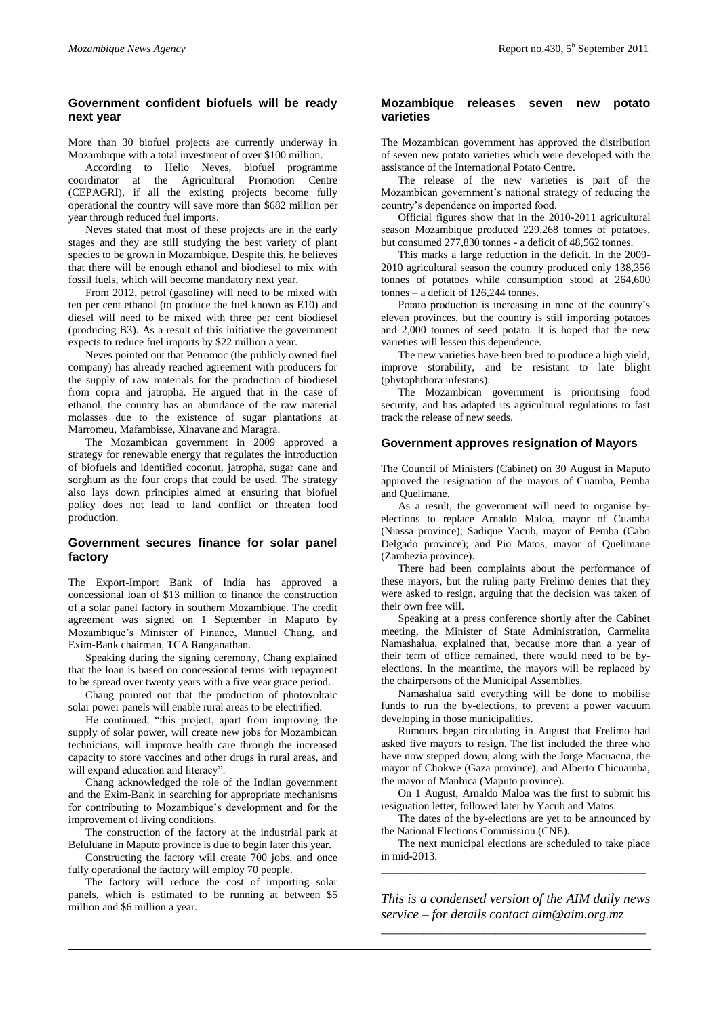## **Government confident biofuels will be ready next year**

More than 30 biofuel projects are currently underway in Mozambique with a total investment of over \$100 million.

According to Helio Neves, biofuel programme coordinator at the Agricultural Promotion Centre (CEPAGRI), if all the existing projects become fully operational the country will save more than \$682 million per year through reduced fuel imports.

Neves stated that most of these projects are in the early stages and they are still studying the best variety of plant species to be grown in Mozambique. Despite this, he believes that there will be enough ethanol and biodiesel to mix with fossil fuels, which will become mandatory next year.

From 2012, petrol (gasoline) will need to be mixed with ten per cent ethanol (to produce the fuel known as E10) and diesel will need to be mixed with three per cent biodiesel (producing B3). As a result of this initiative the government expects to reduce fuel imports by \$22 million a year.

Neves pointed out that Petromoc (the publicly owned fuel company) has already reached agreement with producers for the supply of raw materials for the production of biodiesel from copra and jatropha. He argued that in the case of ethanol, the country has an abundance of the raw material molasses due to the existence of sugar plantations at Marromeu, Mafambisse, Xinavane and Maragra.

The Mozambican government in 2009 approved a strategy for renewable energy that regulates the introduction of biofuels and identified coconut, jatropha, sugar cane and sorghum as the four crops that could be used. The strategy also lays down principles aimed at ensuring that biofuel policy does not lead to land conflict or threaten food production.

## **Government secures finance for solar panel factory**

The Export-Import Bank of India has approved a concessional loan of \$13 million to finance the construction of a solar panel factory in southern Mozambique. The credit agreement was signed on 1 September in Maputo by Mozambique's Minister of Finance, Manuel Chang, and Exim-Bank chairman, TCA Ranganathan.

Speaking during the signing ceremony, Chang explained that the loan is based on concessional terms with repayment to be spread over twenty years with a five year grace period.

Chang pointed out that the production of photovoltaic solar power panels will enable rural areas to be electrified.

He continued, "this project, apart from improving the supply of solar power, will create new jobs for Mozambican technicians, will improve health care through the increased capacity to store vaccines and other drugs in rural areas, and will expand education and literacy".

Chang acknowledged the role of the Indian government and the Exim-Bank in searching for appropriate mechanisms for contributing to Mozambique's development and for the improvement of living conditions.

The construction of the factory at the industrial park at Beluluane in Maputo province is due to begin later this year.

Constructing the factory will create 700 jobs, and once fully operational the factory will employ 70 people.

The factory will reduce the cost of importing solar panels, which is estimated to be running at between \$5 million and \$6 million a year.

## **Mozambique releases seven new potato varieties**

The Mozambican government has approved the distribution of seven new potato varieties which were developed with the assistance of the International Potato Centre.

The release of the new varieties is part of the Mozambican government's national strategy of reducing the country's dependence on imported food.

Official figures show that in the 2010-2011 agricultural season Mozambique produced 229,268 tonnes of potatoes, but consumed 277,830 tonnes - a deficit of 48,562 tonnes.

This marks a large reduction in the deficit. In the 2009- 2010 agricultural season the country produced only 138,356 tonnes of potatoes while consumption stood at 264,600 tonnes – a deficit of 126,244 tonnes.

Potato production is increasing in nine of the country's eleven provinces, but the country is still importing potatoes and 2,000 tonnes of seed potato. It is hoped that the new varieties will lessen this dependence.

The new varieties have been bred to produce a high yield, improve storability, and be resistant to late blight (phytophthora infestans).

The Mozambican government is prioritising food security, and has adapted its agricultural regulations to fast track the release of new seeds.

### **Government approves resignation of Mayors**

The Council of Ministers (Cabinet) on 30 August in Maputo approved the resignation of the mayors of Cuamba, Pemba and Quelimane.

As a result, the government will need to organise byelections to replace Arnaldo Maloa, mayor of Cuamba (Niassa province); Sadique Yacub, mayor of Pemba (Cabo Delgado province); and Pio Matos, mayor of Quelimane (Zambezia province).

There had been complaints about the performance of these mayors, but the ruling party Frelimo denies that they were asked to resign, arguing that the decision was taken of their own free will.

Speaking at a press conference shortly after the Cabinet meeting, the Minister of State Administration, Carmelita Namashalua, explained that, because more than a year of their term of office remained, there would need to be byelections. In the meantime, the mayors will be replaced by the chairpersons of the Municipal Assemblies.

Namashalua said everything will be done to mobilise funds to run the by-elections, to prevent a power vacuum developing in those municipalities.

Rumours began circulating in August that Frelimo had asked five mayors to resign. The list included the three who have now stepped down, along with the Jorge Macuacua, the mayor of Chokwe (Gaza province), and Alberto Chicuamba, the mayor of Manhica (Maputo province).

On 1 August, Arnaldo Maloa was the first to submit his resignation letter, followed later by Yacub and Matos.

The dates of the by-elections are yet to be announced by the National Elections Commission (CNE).

The next municipal elections are scheduled to take place in mid-2013. *\_\_\_\_\_\_\_\_\_\_\_\_\_\_\_\_\_\_\_\_\_\_\_\_\_\_\_\_\_\_\_\_\_\_\_\_\_\_\_\_\_\_\_\_*

*This is a condensed version of the AIM daily news service – for details contact [aim@aim.org.mz](mailto:aim@aim.org.mz) \_\_\_\_\_\_\_\_\_\_\_\_\_\_\_\_\_\_\_\_\_\_\_\_\_\_\_\_\_\_\_\_\_\_\_\_\_\_\_\_\_\_\_\_*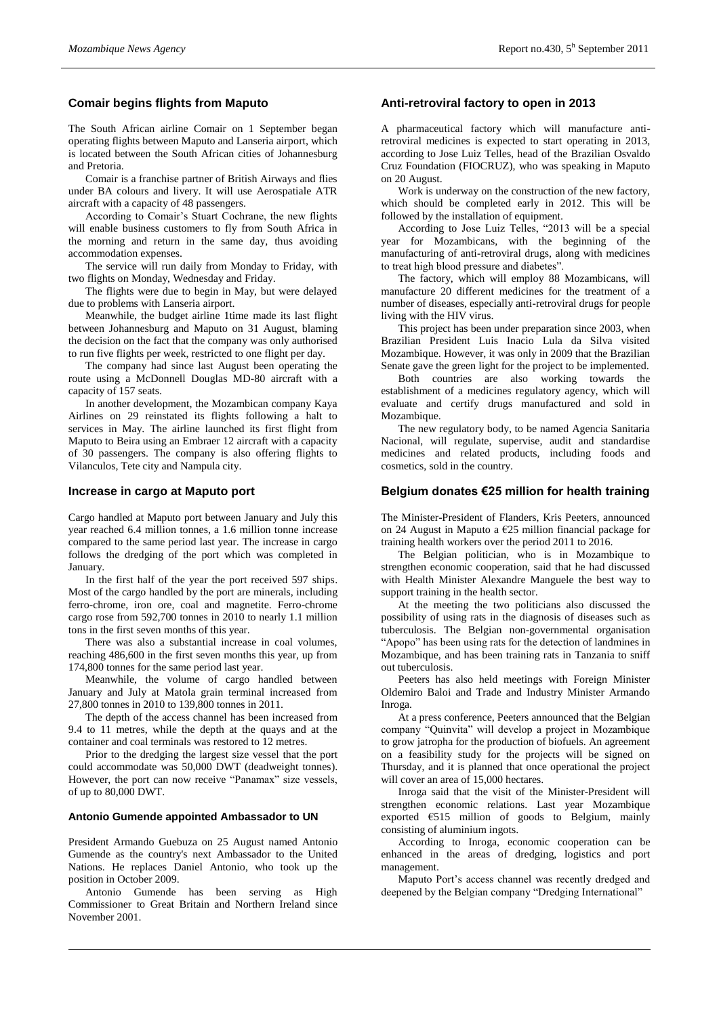## **Comair begins flights from Maputo**

The South African airline Comair on 1 September began operating flights between Maputo and Lanseria airport, which is located between the South African cities of Johannesburg and Pretoria.

Comair is a franchise partner of British Airways and flies under BA colours and livery. It will use Aerospatiale ATR aircraft with a capacity of 48 passengers.

According to Comair's Stuart Cochrane, the new flights will enable business customers to fly from South Africa in the morning and return in the same day, thus avoiding accommodation expenses.

The service will run daily from Monday to Friday, with two flights on Monday, Wednesday and Friday.

The flights were due to begin in May, but were delayed due to problems with Lanseria airport.

Meanwhile, the budget airline 1time made its last flight between Johannesburg and Maputo on 31 August, blaming the decision on the fact that the company was only authorised to run five flights per week, restricted to one flight per day.

The company had since last August been operating the route using a McDonnell Douglas MD-80 aircraft with a capacity of 157 seats.

In another development, the Mozambican company Kaya Airlines on 29 reinstated its flights following a halt to services in May. The airline launched its first flight from Maputo to Beira using an Embraer 12 aircraft with a capacity of 30 passengers. The company is also offering flights to Vilanculos, Tete city and Nampula city.

#### **Increase in cargo at Maputo port**

Cargo handled at Maputo port between January and July this year reached 6.4 million tonnes, a 1.6 million tonne increase compared to the same period last year. The increase in cargo follows the dredging of the port which was completed in January.

In the first half of the year the port received 597 ships. Most of the cargo handled by the port are minerals, including ferro-chrome, iron ore, coal and magnetite. Ferro-chrome cargo rose from 592,700 tonnes in 2010 to nearly 1.1 million tons in the first seven months of this year.

There was also a substantial increase in coal volumes, reaching 486,600 in the first seven months this year, up from 174,800 tonnes for the same period last year.

Meanwhile, the volume of cargo handled between January and July at Matola grain terminal increased from 27,800 tonnes in 2010 to 139,800 tonnes in 2011.

The depth of the access channel has been increased from 9.4 to 11 metres, while the depth at the quays and at the container and coal terminals was restored to 12 metres.

Prior to the dredging the largest size vessel that the port could accommodate was 50,000 DWT (deadweight tonnes). However, the port can now receive "Panamax" size vessels, of up to 80,000 DWT.

#### **Antonio Gumende appointed Ambassador to UN**

President Armando Guebuza on 25 August named Antonio Gumende as the country's next Ambassador to the United Nations. He replaces Daniel Antonio, who took up the position in October 2009.

Antonio Gumende has been serving as High Commissioner to Great Britain and Northern Ireland since November 2001.

## **Anti-retroviral factory to open in 2013**

A pharmaceutical factory which will manufacture antiretroviral medicines is expected to start operating in 2013, according to Jose Luiz Telles, head of the Brazilian Osvaldo Cruz Foundation (FIOCRUZ), who was speaking in Maputo on 20 August.

Work is underway on the construction of the new factory, which should be completed early in 2012. This will be followed by the installation of equipment.

According to Jose Luiz Telles, "2013 will be a special year for Mozambicans, with the beginning of the manufacturing of anti-retroviral drugs, along with medicines to treat high blood pressure and diabetes".

The factory, which will employ 88 Mozambicans, will manufacture 20 different medicines for the treatment of a number of diseases, especially anti-retroviral drugs for people living with the HIV virus.

This project has been under preparation since 2003, when Brazilian President Luis Inacio Lula da Silva visited Mozambique. However, it was only in 2009 that the Brazilian Senate gave the green light for the project to be implemented.

Both countries are also working towards the establishment of a medicines regulatory agency, which will evaluate and certify drugs manufactured and sold in Mozambique.

The new regulatory body, to be named Agencia Sanitaria Nacional, will regulate, supervise, audit and standardise medicines and related products, including foods and cosmetics, sold in the country.

#### **Belgium donates €25 million for health training**

The Minister-President of Flanders, Kris Peeters, announced on 24 August in Maputo a €25 million financial package for training health workers over the period 2011 to 2016.

The Belgian politician, who is in Mozambique to strengthen economic cooperation, said that he had discussed with Health Minister Alexandre Manguele the best way to support training in the health sector.

At the meeting the two politicians also discussed the possibility of using rats in the diagnosis of diseases such as tuberculosis. The Belgian non-governmental organisation "Apopo" has been using rats for the detection of landmines in Mozambique, and has been training rats in Tanzania to sniff out tuberculosis.

Peeters has also held meetings with Foreign Minister Oldemiro Baloi and Trade and Industry Minister Armando Inroga.

At a press conference, Peeters announced that the Belgian company "Quinvita" will develop a project in Mozambique to grow jatropha for the production of biofuels. An agreement on a feasibility study for the projects will be signed on Thursday, and it is planned that once operational the project will cover an area of 15,000 hectares.

Inroga said that the visit of the Minister-President will strengthen economic relations. Last year Mozambique exported €515 million of goods to Belgium, mainly consisting of aluminium ingots.

According to Inroga, economic cooperation can be enhanced in the areas of dredging, logistics and port management.

Maputo Port's access channel was recently dredged and deepened by the Belgian company "Dredging International"